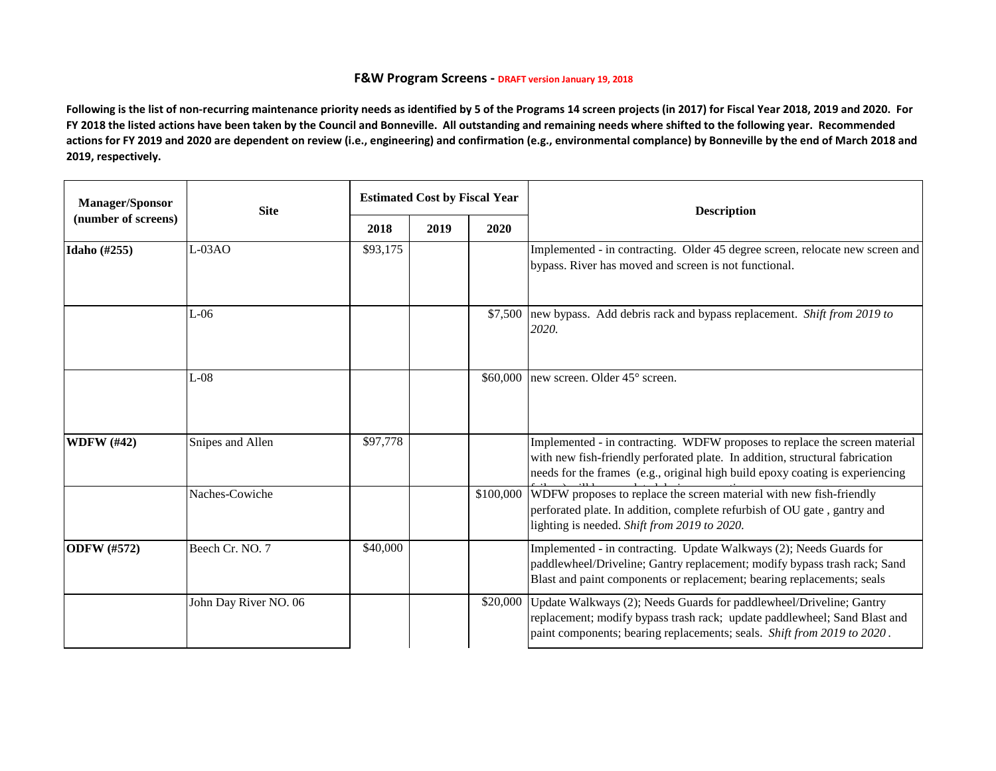## **F&W Program Screens - DRAFT version January 19, 2018**

**Following is the list of non-recurring maintenance priority needs as identified by 5 of the Programs 14 screen projects (in 2017) for Fiscal Year 2018, 2019 and 2020. For FY 2018 the listed actions have been taken by the Council and Bonneville. All outstanding and remaining needs where shifted to the following year. Recommended actions for FY 2019 and 2020 are dependent on review (i.e., engineering) and confirmation (e.g., environmental complance) by Bonneville by the end of March 2018 and 2019, respectively.** 

| <b>Manager/Sponsor</b><br>(number of screens) | <b>Site</b>           | <b>Estimated Cost by Fiscal Year</b> |      |           | <b>Description</b>                                                                                                                                                                                                                          |
|-----------------------------------------------|-----------------------|--------------------------------------|------|-----------|---------------------------------------------------------------------------------------------------------------------------------------------------------------------------------------------------------------------------------------------|
|                                               |                       | 2018                                 | 2019 | 2020      |                                                                                                                                                                                                                                             |
| Idaho (#255)                                  | $L-03AO$              | \$93,175                             |      |           | Implemented - in contracting. Older 45 degree screen, relocate new screen and<br>bypass. River has moved and screen is not functional.                                                                                                      |
|                                               | $L-06$                |                                      |      | \$7,500   | new bypass. Add debris rack and bypass replacement. Shift from 2019 to<br>2020.                                                                                                                                                             |
|                                               | $L-08$                |                                      |      | \$60,000  | new screen. Older 45° screen.                                                                                                                                                                                                               |
| <b>WDFW</b> (#42)                             | Snipes and Allen      | \$97,778                             |      |           | Implemented - in contracting. WDFW proposes to replace the screen material<br>with new fish-friendly perforated plate. In addition, structural fabrication<br>needs for the frames (e.g., original high build epoxy coating is experiencing |
|                                               | Naches-Cowiche        |                                      |      | \$100,000 | WDFW proposes to replace the screen material with new fish-friendly<br>perforated plate. In addition, complete refurbish of OU gate, gantry and<br>lighting is needed. Shift from 2019 to 2020.                                             |
| <b>ODFW</b> (#572)                            | Beech Cr. NO. 7       | \$40,000                             |      |           | Implemented - in contracting. Update Walkways (2); Needs Guards for<br>paddlewheel/Driveline; Gantry replacement; modify bypass trash rack; Sand<br>Blast and paint components or replacement; bearing replacements; seals                  |
|                                               | John Day River NO. 06 |                                      |      | \$20,000  | Update Walkways (2); Needs Guards for paddlewheel/Driveline; Gantry<br>replacement; modify bypass trash rack; update paddlewheel; Sand Blast and<br>paint components; bearing replacements; seals. Shift from 2019 to 2020.                 |